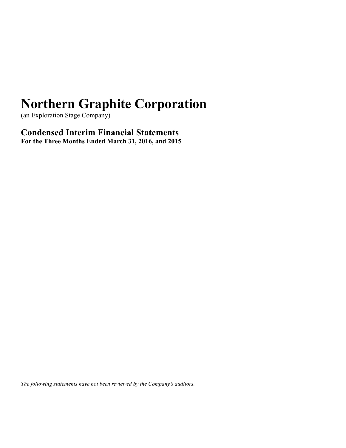(an Exploration Stage Company)

**Condensed Interim Financial Statements For the Three Months Ended March 31, 2016, and 2015**

*The following statements have not been reviewed by the Company's auditors.*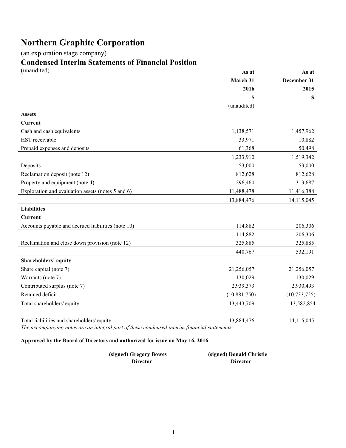(an exploration stage company)

# **Condensed Interim Statements of Financial Position**

| (unaudited)                                        | As at          | As at          |
|----------------------------------------------------|----------------|----------------|
|                                                    | March 31       | December 31    |
|                                                    | 2016           | 2015           |
|                                                    | \$             | \$             |
|                                                    | (unaudited)    |                |
| <b>Assets</b>                                      |                |                |
| Current                                            |                |                |
| Cash and cash equivalents                          | 1,138,571      | 1,457,962      |
| HST receivable                                     | 33,971         | 10,882         |
| Prepaid expenses and deposits                      | 61,368         | 50,498         |
|                                                    | 1,233,910      | 1,519,342      |
| Deposits                                           | 53,000         | 53,000         |
| Reclamation deposit (note 12)                      | 812,628        | 812,628        |
| Property and equipment (note 4)                    | 296,460        | 313,687        |
| Exploration and evaluation assets (notes 5 and 6)  | 11,488,478     | 11,416,388     |
|                                                    | 13,884,476     | 14,115,045     |
| <b>Liabilities</b>                                 |                |                |
| <b>Current</b>                                     |                |                |
| Accounts payable and accrued liabilities (note 10) | 114,882        | 206,306        |
|                                                    | 114,882        | 206,306        |
| Reclamation and close down provision (note 12)     | 325,885        | 325,885        |
|                                                    | 440,767        | 532,191        |
| <b>Shareholders' equity</b>                        |                |                |
| Share capital (note 7)                             | 21,256,057     | 21,256,057     |
| Warrants (note 7)                                  | 130,029        | 130,029        |
| Contributed surplus (note 7)                       | 2,939,373      | 2,930,493      |
| Retained deficit                                   | (10, 881, 750) | (10, 733, 725) |
| Total shareholders' equity                         | 13,443,709     | 13,582,854     |
|                                                    |                |                |
| Total liabilities and shareholders' equity         | 13,884,476     | 14,115,045     |

*The accompanying notes are an integral part of these condensed interim financial statements* 

### **Approved by the Board of Directors and authorized for issue on May 16, 2016**

| (signed) Gregory Bowes | (signed) Donald Christie |
|------------------------|--------------------------|
| <b>Director</b>        | Director                 |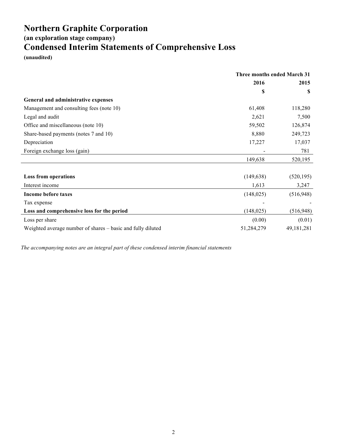**(an exploration stage company)**

## **Condensed Interim Statements of Comprehensive Loss**

**(unaudited)**

|                                                             | <b>Three months ended March 31</b> |              |
|-------------------------------------------------------------|------------------------------------|--------------|
|                                                             | 2016                               | 2015         |
|                                                             | \$                                 | S            |
| General and administrative expenses                         |                                    |              |
| Management and consulting fees (note 10)                    | 61,408                             | 118,280      |
| Legal and audit                                             | 2,621                              | 7,500        |
| Office and miscellaneous (note 10)                          | 59,502                             | 126,874      |
| Share-based payments (notes 7 and 10)                       | 8,880                              | 249,723      |
| Depreciation                                                | 17,227                             | 17,037       |
| Foreign exchange loss (gain)                                |                                    | 781          |
|                                                             | 149,638                            | 520,195      |
|                                                             |                                    |              |
| <b>Loss from operations</b>                                 | (149, 638)                         | (520, 195)   |
| Interest income                                             | 1,613                              | 3,247        |
| Income before taxes                                         | (148, 025)                         | (516, 948)   |
| Tax expense                                                 |                                    |              |
| Loss and comprehensive loss for the period                  | (148, 025)                         | (516, 948)   |
| Loss per share                                              | (0.00)                             | (0.01)       |
| Weighted average number of shares - basic and fully diluted | 51,284,279                         | 49, 181, 281 |

*The accompanying notes are an integral part of these condensed interim financial statements*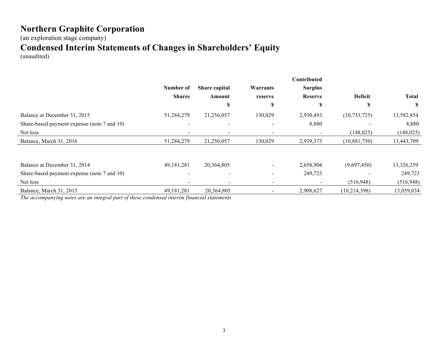(an exploration stage company)

## **Condensed Interim Statements of Changes in Shareholders' Equity**

(unaudited)

|                                             |               |                          |                          | Contributed              |                |              |
|---------------------------------------------|---------------|--------------------------|--------------------------|--------------------------|----------------|--------------|
|                                             | Number of     | Share capital            | Warrants                 | <b>Surplus</b>           |                |              |
|                                             | <b>Shares</b> | Amount                   | reserve                  | <b>Reserve</b>           | <b>Deficit</b> | <b>Total</b> |
|                                             |               | D                        | ъ                        | S                        | J.             | S            |
| Balance at December 31, 2015                | 51,284,279    | 21,256,057               | 130,029                  | 2,930,493                | (10, 733, 725) | 13,582,854   |
| Share-based payment expense (note 7 and 10) |               |                          |                          | 8,880                    |                | 8,880        |
| Net loss                                    |               |                          |                          |                          | (148, 025)     | (148, 025)   |
| Balance, March 31, 2016                     | 51,284,279    | 21,256,057               | 130,029                  | 2,939,373                | (10,881,750)   | 13,443,709   |
|                                             |               |                          |                          |                          |                |              |
| Balance at December 31, 2014                | 49, 181, 281  | 20,364,805               | $\sim$                   | 2,658,904                | (9,697,450)    | 13,326,259   |
| Share-based payment expense (note 7 and 10) |               | $\overline{\phantom{a}}$ | $\overline{\phantom{a}}$ | 249,723                  |                | 249,723      |
| Net loss                                    |               | $\overline{\phantom{a}}$ | $\overline{\phantom{a}}$ | $\overline{\phantom{a}}$ | (516,948)      | (516,948)    |
| Balance, March 31, 2015                     | 49, 181, 281  | 20,364,805               | $\overline{\phantom{a}}$ | 2,908,627                | (10, 214, 398) | 13,059,034   |

*The accompanying notes are an integral part of these condensed interim financial statements*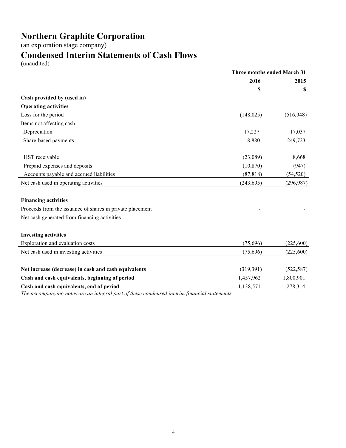(an exploration stage company)

## **Condensed Interim Statements of Cash Flows**

(unaudited)

|                                                                                             | <b>Three months ended March 31</b> |            |
|---------------------------------------------------------------------------------------------|------------------------------------|------------|
|                                                                                             | 2016                               | 2015       |
|                                                                                             | S                                  | \$         |
| Cash provided by (used in)                                                                  |                                    |            |
| <b>Operating activities</b>                                                                 |                                    |            |
| Loss for the period                                                                         | (148, 025)                         | (516,948)  |
| Items not affecting cash                                                                    |                                    |            |
| Depreciation                                                                                | 17,227                             | 17,037     |
| Share-based payments                                                                        | 8,880                              | 249,723    |
|                                                                                             |                                    |            |
| HST receivable                                                                              | (23,089)                           | 8,668      |
| Prepaid expenses and deposits                                                               | (10, 870)                          | (947)      |
| Accounts payable and accrued liabilities                                                    | (87, 818)                          | (54, 520)  |
| Net cash used in operating activities                                                       | (243, 695)                         | (296, 987) |
| <b>Financing activities</b>                                                                 |                                    |            |
| Proceeds from the issuance of shares in private placement                                   |                                    |            |
| Net cash generated from financing activities                                                |                                    |            |
| <b>Investing activities</b>                                                                 |                                    |            |
| Exploration and evaluation costs                                                            | (75,696)                           | (225,600)  |
| Net cash used in investing activities                                                       | (75,696)                           | (225,600)  |
| Net increase (decrease) in cash and cash equivalents                                        | (319,391)                          | (522, 587) |
| Cash and cash equivalents, beginning of period                                              | 1,457,962                          | 1,800,901  |
| Cash and cash equivalents, end of period                                                    | 1,138,571                          | 1,278,314  |
| The accompanying notes are an integral part of these condensed interim financial statements |                                    |            |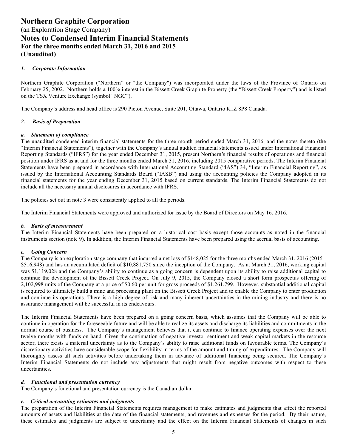#### *1. Corporate Information*

Northern Graphite Corporation ("Northern" or "the Company") was incorporated under the laws of the Province of Ontario on February 25, 2002. Northern holds a 100% interest in the Bissett Creek Graphite Property (the "Bissett Creek Property") and is listed on the TSX Venture Exchange (symbol "NGC").

The Company's address and head office is 290 Picton Avenue, Suite 201, Ottawa, Ontario K1Z 8P8 Canada.

#### *2. Basis of Preparation*

#### *a. Statement of compliance*

The unaudited condensed interim financial statements for the three month period ended March 31, 2016, and the notes thereto (the "Interim Financial Statements"), together with the Company's annual audited financial statements issued under International Financial Reporting Standards ("IFRS") for the year ended December 31, 2015, present Northern's financial results of operations and financial position under IFRS as at and for the three months ended March 31, 2016, including 2015 comparative periods. The Interim Financial Statements have been prepared in accordance with International Accounting Standard ("IAS") 34, "Interim Financial Reporting", as issued by the International Accounting Standards Board ("IASB") and using the accounting policies the Company adopted in its financial statements for the year ending December 31, 2015 based on current standards. The Interim Financial Statements do not include all the necessary annual disclosures in accordance with IFRS.

The policies set out in note 3 were consistently applied to all the periods.

The Interim Financial Statements were approved and authorized for issue by the Board of Directors on May 16, 2016.

#### *b. Basis of measurement*

The Interim Financial Statements have been prepared on a historical cost basis except those accounts as noted in the financial instruments section (note 9). In addition, the Interim Financial Statements have been prepared using the accrual basis of accounting.

#### *c. Going Concern*

The Company is an exploration stage company that incurred a net loss of \$148,025 for the three months ended March 31, 2016 (2015 - \$516,948) and has an accumulated deficit of \$10,881,750 since the inception of the Company. As at March 31, 2016, working capital was \$1,119,028 and the Company's ability to continue as a going concern is dependent upon its ability to raise additional capital to continue the development of the Bissett Creek Project. On July 9, 2015, the Company closed a short form prospectus offering of 2,102,998 units of the Company at a price of \$0.60 per unit for gross proceeds of \$1,261,799. However, substantial additional capital is required to ultimately build a mine and processing plant on the Bissett Creek Project and to enable the Company to enter production and continue its operations. There is a high degree of risk and many inherent uncertainties in the mining industry and there is no assurance management will be successful in its endeavours.

The Interim Financial Statements have been prepared on a going concern basis, which assumes that the Company will be able to continue in operation for the foreseeable future and will be able to realize its assets and discharge its liabilities and commitments in the normal course of business. The Company's management believes that it can continue to finance operating expenses over the next twelve months with funds on hand. Given the continuation of negative investor sentiment and weak capital markets in the resource sector, there exists a material uncertainty as to the Company's ability to raise additional funds on favourable terms. The Company's discretionary activities have considerable scope for flexibility in terms of the amount and timing of expenditures. The Company will thoroughly assess all such activities before undertaking them in advance of additional financing being secured. The Company's Interim Financial Statements do not include any adjustments that might result from negative outcomes with respect to these uncertainties.

#### *d. Functional and presentation currency*

The Company's functional and presentation currency is the Canadian dollar.

#### *e. Critical accounting estimates and judgments*

The preparation of the Interim Financial Statements requires management to make estimates and judgments that affect the reported amounts of assets and liabilities at the date of the financial statements, and revenues and expenses for the period. By their nature, these estimates and judgments are subject to uncertainty and the effect on the Interim Financial Statements of changes in such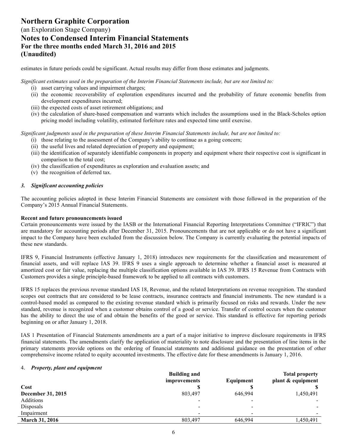### (an Exploration Stage Company) **Notes to Condensed Interim Financial Statements For the three months ended March 31, 2016 and 2015 (Unaudited)**

estimates in future periods could be significant. Actual results may differ from those estimates and judgments.

*Significant estimates used in the preparation of the Interim Financial Statements include, but are not limited to:* 

- (i) asset carrying values and impairment charges;
- (ii) the economic recoverability of exploration expenditures incurred and the probability of future economic benefits from development expenditures incurred;
- (iii) the expected costs of asset retirement obligations; and
- (iv) the calculation of share-based compensation and warrants which includes the assumptions used in the Black-Scholes option pricing model including volatility, estimated forfeiture rates and expected time until exercise.

*Significant judgments used in the preparation of these Interim Financial Statements include, but are not limited to:* 

- (i) those relating to the assessment of the Company's ability to continue as a going concern;
- (ii) the useful lives and related depreciation of property and equipment;
- (iii) the identification of separately identifiable components in property and equipment where their respective cost is significant in comparison to the total cost;
- (iv) the classification of expenditures as exploration and evaluation assets; and
- (v) the recognition of deferred tax.

#### *3. Significant accounting policies*

The accounting policies adopted in these Interim Financial Statements are consistent with those followed in the preparation of the Company's 2015 Annual Financial Statements.

#### **Recent and future pronouncements issued**

Certain pronouncements were issued by the IASB or the International Financial Reporting Interpretations Committee ("IFRIC") that are mandatory for accounting periods after December 31, 2015. Pronouncements that are not applicable or do not have a significant impact to the Company have been excluded from the discussion below. The Company is currently evaluating the potential impacts of these new standards.

IFRS 9, Financial Instruments (effective January 1, 2018) introduces new requirements for the classification and measurement of financial assets, and will replace IAS 39. IFRS 9 uses a single approach to determine whether a financial asset is measured at amortized cost or fair value, replacing the multiple classification options available in IAS 39. IFRS 15 Revenue from Contracts with Customers provides a single principle-based framework to be applied to all contracts with customers.

IFRS 15 replaces the previous revenue standard IAS 18, Revenue, and the related Interpretations on revenue recognition. The standard scopes out contracts that are considered to be lease contracts, insurance contracts and financial instruments. The new standard is a control-based model as compared to the existing revenue standard which is primarily focused on risks and rewards. Under the new standard, revenue is recognized when a customer obtains control of a good or service. Transfer of control occurs when the customer has the ability to direct the use of and obtain the benefits of the good or service. This standard is effective for reporting periods beginning on or after January 1, 2018.

IAS 1 Presentation of Financial Statements amendments are a part of a major initiative to improve disclosure requirements in IFRS financial statements. The amendments clarify the application of materiality to note disclosure and the presentation of line items in the primary statements provide options on the ordering of financial statements and additional guidance on the presentation of other comprehensive income related to equity accounted investments. The effective date for these amendments is January 1, 2016.

#### 4. *Property, plant and equipment*

|                       | <b>Building and</b>      |           | <b>Total property</b> |
|-----------------------|--------------------------|-----------|-----------------------|
|                       | improvements             | Equipment | plant & equipment     |
| Cost                  | ۱D                       |           |                       |
| December 31, 2015     | 803,497                  | 646.994   | 1,450,491             |
| Additions             |                          |           |                       |
| Disposals             | $\overline{\phantom{0}}$ |           |                       |
| Impairment            | $\overline{\phantom{0}}$ |           |                       |
| <b>March 31, 2016</b> | 803,497                  | 646.994   | 1,450,491             |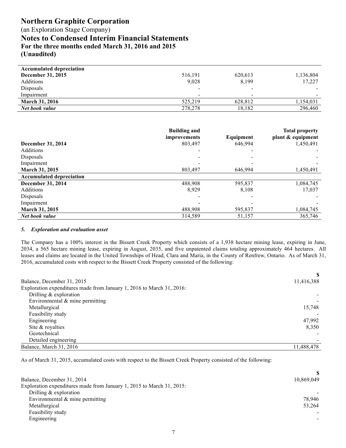### **Northern Graphite Corporation** (an Exploration Stage Company)

**Notes to Condensed Interim Financial Statements For the three months ended March 31, 2016 and 2015 (Unaudited)**

| 516,191                  | 620,613 | 1,136,804 |
|--------------------------|---------|-----------|
| 9,028                    | 8,199   | 17,227    |
| $\overline{\phantom{a}}$ |         |           |
| $\overline{\phantom{a}}$ |         |           |
| 525.219                  | 628.812 | 1,154,031 |
| 278,278                  | 18,182  | 296,460   |
|                          |         |           |

|                                 | <b>Building and</b><br>improvements | Equipment | <b>Total property</b><br>plant & equipment |
|---------------------------------|-------------------------------------|-----------|--------------------------------------------|
| December 31, 2014               | 803,497                             | 646.994   | 1,450,491                                  |
| Additions                       |                                     |           |                                            |
| Disposals                       |                                     |           |                                            |
| Impairment                      |                                     |           |                                            |
| <b>March 31, 2015</b>           | 803.497                             | 646.994   | 1,450,491                                  |
| <b>Accumulated depreciation</b> |                                     |           |                                            |
| December 31, 2014               | 488,908                             | 595,837   | 1,084,745                                  |
| Additions                       | 8,929                               | 8,108     | 17,037                                     |
| Disposals                       |                                     |           |                                            |
| Impairment                      |                                     |           |                                            |
| <b>March 31, 2015</b>           | 488,908                             | 595,837   | 1,084,745                                  |
| Net book value                  | 314,589                             | 51,157    | 365,746                                    |

#### *5. Exploration and evaluation asset*

The Company has a 100% interest in the Bissett Creek Property which consists of a 1,938 hectare mining lease, expiring in June, 2034, a 565 hectare mining lease, expiring in August, 2035, and five unpatented claims totaling approximately 464 hectares. All leases and claims are located in the United Townships of Head, Clara and Maria, in the County of Renfrew, Ontario. As of March 31, 2016, accumulated costs with respect to the Bissett Creek Property consisted of the following:

| Balance, December 31, 2015                                            | 11,416,388 |
|-----------------------------------------------------------------------|------------|
| Exploration expenditures made from January 1, 2016 to March 31, 2016: |            |
| Drilling $&$ exploration                                              |            |
| Environmental $\&$ mine permitting                                    |            |
| Metallurgical                                                         | 15,748     |
| Feasibility study                                                     |            |
| Engineering                                                           | 47,992     |
| Site & royalties                                                      | 8,350      |
| Geotechnical                                                          |            |
| Detailed engineering                                                  |            |
| Balance, March 31, 2016                                               | 11,488,478 |

As of March 31, 2015, accumulated costs with respect to the Bissett Creek Property consisted of the following:

| Balance, December 31, 2014                                            | 10,869,049 |
|-----------------------------------------------------------------------|------------|
| Exploration expenditures made from January 1, 2015 to March 31, 2015: |            |
| Drilling $&$ exploration                                              |            |
| Environmental $\&$ mine permitting                                    | 78.946     |
| Metallurgical                                                         | 53,264     |
| Feasibility study                                                     |            |
| Engineering                                                           |            |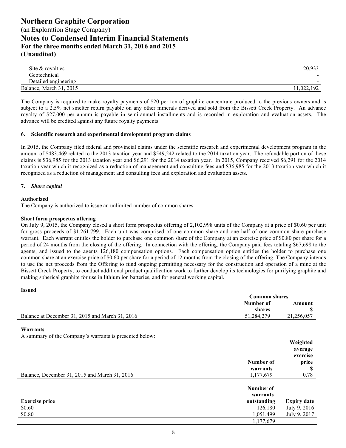| Site & royalties        | 20,933                   |
|-------------------------|--------------------------|
| Geotechnical            |                          |
| Detailed engineering    | $\overline{\phantom{0}}$ |
| Balance, March 31, 2015 | 1,022,192                |

The Company is required to make royalty payments of \$20 per ton of graphite concentrate produced to the previous owners and is subject to a 2.5% net smelter return payable on any other minerals derived and sold from the Bissett Creek Property. An advance royalty of \$27,000 per annum is payable in semi-annual installments and is recorded in exploration and evaluation assets. The advance will be credited against any future royalty payments.

#### **6. Scientific research and experimental development program claims**

In 2015, the Company filed federal and provincial claims under the scientific research and experimental development program in the amount of \$483,469 related to the 2013 taxation year and \$549,242 related to the 2014 taxation year. The refundable portion of these claims is \$36,985 for the 2013 taxation year and \$6,291 for the 2014 taxation year. In 2015, Company received \$6,291 for the 2014 taxation year which it recognized as a reduction of management and consulting fees and \$36,985 for the 2013 taxation year which it recognized as a reduction of management and consulting fees and exploration and evaluation assets.

#### **7.** *Share capital*

#### **Authorized**

**Issued**

The Company is authorized to issue an unlimited number of common shares.

#### **Short form prospectus offering**

On July 9, 2015, the Company closed a short form prospectus offering of 2,102,998 units of the Company at a price of \$0.60 per unit for gross proceeds of \$1,261,799. Each unit was comprised of one common share and one half of one common share purchase warrant. Each warrant entitles the holder to purchase one common share of the Company at an exercise price of \$0.80 per share for a period of 24 months from the closing of the offering. In connection with the offering, the Company paid fees totaling \$67,698 to the agents, and issued to the agents 126,180 compensation options. Each compensation option entitles the holder to purchase one common share at an exercise price of \$0.60 per share for a period of 12 months from the closing of the offering. The Company intends to use the net proceeds from the Offering to fund ongoing permitting necessary for the construction and operation of a mine at the Bissett Creek Property, to conduct additional product qualification work to further develop its technologies for purifying graphite and making spherical graphite for use in lithium ion batteries, and for general working capital.

|                                                         | <b>Common shares</b> |            |
|---------------------------------------------------------|----------------------|------------|
|                                                         | Number of            | Amount     |
|                                                         | shares               |            |
| Balance at December 31, 2015 and March 31, 2016         | 51.284.279           | 21,256,057 |
|                                                         |                      |            |
| Warrants                                                |                      |            |
| A summary of the Company's warrants is presented below: |                      |            |

|                                               |                       | Weighted            |
|-----------------------------------------------|-----------------------|---------------------|
|                                               |                       | average<br>exercise |
|                                               | Number of             | price               |
|                                               | warrants              | S                   |
| Balance, December 31, 2015 and March 31, 2016 | 1,177,679             | 0.78                |
|                                               | Number of<br>warrants |                     |
| <b>Exercise price</b>                         | outstanding           | <b>Expiry date</b>  |
| \$0.60                                        | 126,180               | July 9, 2016        |
| \$0.80                                        | 1,051,499             | July 9, 2017        |
|                                               | 1,177,679             |                     |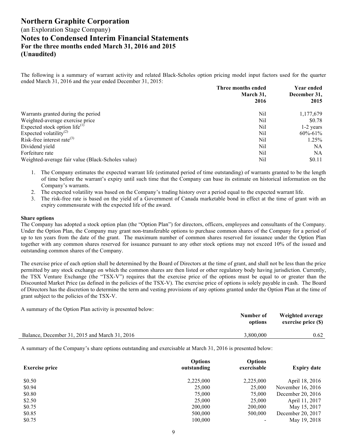The following is a summary of warrant activity and related Black-Scholes option pricing model input factors used for the quarter ended March 31, 2016 and the year ended December 31, 2015:

|                                                   | Three months ended<br>March 31, | Year ended<br>December 31, |  |
|---------------------------------------------------|---------------------------------|----------------------------|--|
|                                                   | 2016                            | 2015                       |  |
| Warrants granted during the period                | Nil                             | 1,177,679                  |  |
| Weighted-average exercise price                   | Nil                             | \$0.78                     |  |
| Expected stock option life $^{(1)}$               | Nil                             | $1-2$ years                |  |
| Expected volatility <sup>(2)</sup>                | Nil                             | $60\% - 61\%$              |  |
| Risk-free interest rate $^{(3)}$                  | Nil                             | 1.25%                      |  |
| Dividend yield                                    | Nil                             | NΑ                         |  |
| Forfeiture rate                                   | Nil                             | NΑ                         |  |
| Weighted-average fair value (Black-Scholes value) | Nil                             | \$0.11                     |  |

- 1. The Company estimates the expected warrant life (estimated period of time outstanding) of warrants granted to be the length of time before the warrant's expiry until such time that the Company can base its estimate on historical information on the Company's warrants.
- 2. The expected volatility was based on the Company's trading history over a period equal to the expected warrant life.
- 3. The risk-free rate is based on the yield of a Government of Canada marketable bond in effect at the time of grant with an expiry commensurate with the expected life of the award.

#### **Share options**

The Company has adopted a stock option plan (the "Option Plan") for directors, officers, employees and consultants of the Company. Under the Option Plan, the Company may grant non-transferable options to purchase common shares of the Company for a period of up to ten years from the date of the grant. The maximum number of common shares reserved for issuance under the Option Plan together with any common shares reserved for issuance pursuant to any other stock options may not exceed 10% of the issued and outstanding common shares of the Company.

The exercise price of each option shall be determined by the Board of Directors at the time of grant, and shall not be less than the price permitted by any stock exchange on which the common shares are then listed or other regulatory body having jurisdiction. Currently, the TSX Venture Exchange (the "TSX-V") requires that the exercise price of the options must be equal to or greater than the Discounted Market Price (as defined in the policies of the TSX-V). The exercise price of options is solely payable in cash. The Board of Directors has the discretion to determine the term and vesting provisions of any options granted under the Option Plan at the time of grant subject to the policies of the TSX-V.

A summary of the Option Plan activity is presented below:

|                                               | Number of<br>options | Weighted average<br>exercise price (\$) |
|-----------------------------------------------|----------------------|-----------------------------------------|
| Balance, December 31, 2015 and March 31, 2016 | 3.800.000            | 0.62                                    |

A summary of the Company's share options outstanding and exercisable at March 31, 2016 is presented below:

| <b>Exercise price</b> | <b>Options</b><br>outstanding | <b>Options</b><br>exercisable | <b>Expiry date</b> |
|-----------------------|-------------------------------|-------------------------------|--------------------|
| \$0.50                | 2,225,000                     | 2,225,000                     | April 18, 2016     |
| \$0.94                | 25,000                        | 25,000                        | November 16, 2016  |
| \$0.80                | 75,000                        | 75,000                        | December 20, 2016  |
| \$2.50                | 25,000                        | 25,000                        | April 11, 2017     |
| \$0.75                | 200,000                       | 200,000                       | May 15, 2017       |
| \$0.85                | 500,000                       | 500,000                       | December 20, 2017  |
| \$0.75                | 100,000                       |                               | May 19, 2018       |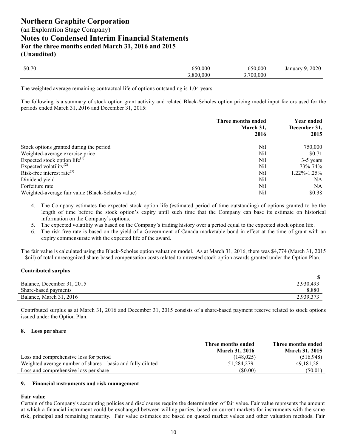(an Exploration Stage Company)

## **Notes to Condensed Interim Financial Statements**

**For the three months ended March 31, 2016 and 2015 (Unaudited)**

| \$0.70 | 000        | 000          | 91197<br>∠∪∠∪<br>ниаг<br>۰۰ م. |
|--------|------------|--------------|--------------------------------|
|        | 000<br>800 | .000<br>700. |                                |

The weighted average remaining contractual life of options outstanding is 1.04 years.

The following is a summary of stock option grant activity and related Black-Scholes option pricing model input factors used for the periods ended March 31, 2016 and December 31, 2015:

|                                                   | Three months ended<br>March 31,<br>2016 | Year ended<br>December 31,<br>2015 |
|---------------------------------------------------|-----------------------------------------|------------------------------------|
| Stock options granted during the period           | Nil                                     | 750,000                            |
| Weighted-average exercise price                   | Nil                                     | \$0.71                             |
| Expected stock option life $^{(1)}$               | Nil                                     | 3-5 years                          |
| Expected volatility <sup>(2)</sup>                | Nil                                     | 73%-74%                            |
| Risk-free interest rate $^{(3)}$                  | Nil                                     | 1.22%-1.25%                        |
| Dividend yield                                    | Nil                                     | NA                                 |
| Forfeiture rate                                   | Nil                                     | NA                                 |
| Weighted-average fair value (Black-Scholes value) | Nil                                     | \$0.38                             |

- 4. The Company estimates the expected stock option life (estimated period of time outstanding) of options granted to be the length of time before the stock option's expiry until such time that the Company can base its estimate on historical information on the Company's options.
- 5. The expected volatility was based on the Company's trading history over a period equal to the expected stock option life.
- 6. The risk-free rate is based on the yield of a Government of Canada marketable bond in effect at the time of grant with an expiry commensurate with the expected life of the award.

The fair value is calculated using the Black-Scholes option valuation model. As at March 31, 2016, there was \$4,774 (March 31, 2015 – \$nil) of total unrecognized share-based compensation costs related to unvested stock option awards granted under the Option Plan.

#### **Contributed surplus**

| Balance, December 31, 2015 | 2,930,493 |
|----------------------------|-----------|
| Share-based payments       | 8,880     |
| Balance, March 31, 2016    | 2,939,373 |

Contributed surplus as at March 31, 2016 and December 31, 2015 consists of a share-based payment reserve related to stock options issued under the Option Plan.

#### **8. Loss per share**

|                                                             | Three months ended    | Three months ended    |
|-------------------------------------------------------------|-----------------------|-----------------------|
|                                                             | <b>March 31, 2016</b> | <b>March 31, 2015</b> |
| Loss and comprehensive loss for period                      | (148.025)             | (516,948)             |
| Weighted average number of shares – basic and fully diluted | 51.284.279            | 49.181.281            |
| Loss and comprehensive loss per share                       | (S0.00)               | (\$0.01)              |

#### **9. Financial instruments and risk management**

#### **Fair value**

Certain of the Company's accounting policies and disclosures require the determination of fair value. Fair value represents the amount at which a financial instrument could be exchanged between willing parties, based on current markets for instruments with the same risk, principal and remaining maturity. Fair value estimates are based on quoted market values and other valuation methods. Fair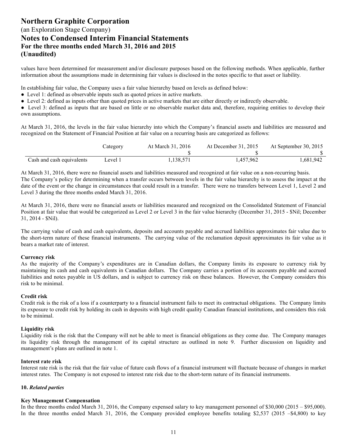values have been determined for measurement and/or disclosure purposes based on the following methods. When applicable, further information about the assumptions made in determining fair values is disclosed in the notes specific to that asset or liability.

In establishing fair value, the Company uses a fair value hierarchy based on levels as defined below:

- Level 1: defined as observable inputs such as quoted prices in active markets.
- Level 2: defined as inputs other than quoted prices in active markets that are either directly or indirectly observable.
- Level 3: defined as inputs that are based on little or no observable market data and, therefore, requiring entities to develop their own assumptions.

At March 31, 2016, the levels in the fair value hierarchy into which the Company's financial assets and liabilities are measured and recognized on the Statement of Financial Position at fair value on a recurring basis are categorized as follows:

|                           | Category | At March 31, 2016 | At December 31, 2015 | At September 30, 2015 |
|---------------------------|----------|-------------------|----------------------|-----------------------|
|                           |          |                   |                      |                       |
| Cash and cash equivalents | Level 1  | 1,138,571         | 1,457,962            | 1,681,942             |

At March 31, 2016, there were no financial assets and liabilities measured and recognized at fair value on a non-recurring basis. The Company's policy for determining when a transfer occurs between levels in the fair value hierarchy is to assess the impact at the date of the event or the change in circumstances that could result in a transfer. There were no transfers between Level 1, Level 2 and Level 3 during the three months ended March 31, 2016.

At March 31, 2016, there were no financial assets or liabilities measured and recognized on the Consolidated Statement of Financial Position at fair value that would be categorized as Level 2 or Level 3 in the fair value hierarchy (December 31, 2015 - \$Nil; December 31, 2014 - \$Nil).

The carrying value of cash and cash equivalents, deposits and accounts payable and accrued liabilities approximates fair value due to the short-term nature of these financial instruments. The carrying value of the reclamation deposit approximates its fair value as it bears a market rate of interest.

#### **Currency risk**

As the majority of the Company's expenditures are in Canadian dollars, the Company limits its exposure to currency risk by maintaining its cash and cash equivalents in Canadian dollars. The Company carries a portion of its accounts payable and accrued liabilities and notes payable in US dollars, and is subject to currency risk on these balances. However, the Company considers this risk to be minimal.

#### **Credit risk**

Credit risk is the risk of a loss if a counterparty to a financial instrument fails to meet its contractual obligations. The Company limits its exposure to credit risk by holding its cash in deposits with high credit quality Canadian financial institutions, and considers this risk to be minimal.

#### **Liquidity risk**

Liquidity risk is the risk that the Company will not be able to meet is financial obligations as they come due. The Company manages its liquidity risk through the management of its capital structure as outlined in note 9. Further discussion on liquidity and management's plans are outlined in note 1.

#### **Interest rate risk**

Interest rate risk is the risk that the fair value of future cash flows of a financial instrument will fluctuate because of changes in market interest rates. The Company is not exposed to interest rate risk due to the short-term nature of its financial instruments.

#### **10.** *Related parties*

#### **Key Management Compensation**

In the three months ended March 31, 2016, the Company expensed salary to key management personnel of \$30,000 (2015 – \$95,000). In the three months ended March 31, 2016, the Company provided employee benefits totaling \$2,537 (2015 –\$4,800) to key